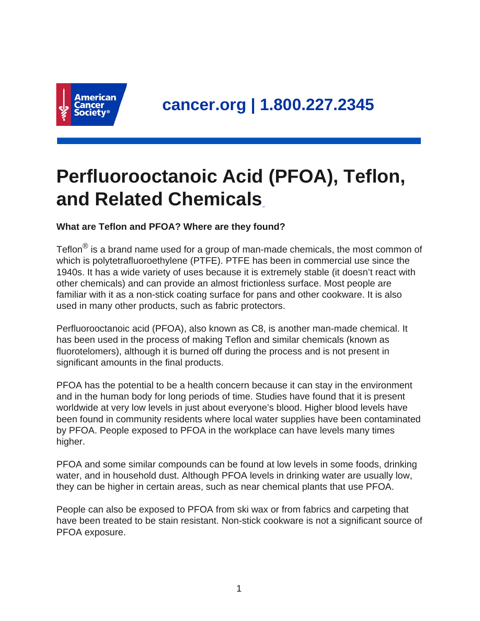

# **Perfluorooctanoic Acid (PFOA), Teflon, and Related Chemicals**

## **What are Teflon and PFOA? Where are they found?**

Teflon $^{\circledR}$  is a brand name used for a group of man-made chemicals, the most common of which is polytetrafluoroethylene (PTFE). PTFE has been in commercial use since the 1940s. It has a wide variety of uses because it is extremely stable (it doesn't react with other chemicals) and can provide an almost frictionless surface. Most people are familiar with it as a non-stick coating surface for pans and other cookware. It is also used in many other products, such as fabric protectors.

Perfluorooctanoic acid (PFOA), also known as C8, is another man-made chemical. It has been used in the process of making Teflon and similar chemicals (known as fluorotelomers), although it is burned off during the process and is not present in significant amounts in the final products.

PFOA has the potential to be a health concern because it can stay in the environment and in the human body for long periods of time. Studies have found that it is present worldwide at very low levels in just about everyone's blood. Higher blood levels have been found in community residents where local water supplies have been contaminated by PFOA. People exposed to PFOA in the workplace can have levels many times higher.

PFOA and some similar compounds can be found at low levels in some foods, drinking water, and in household dust. Although PFOA levels in drinking water are usually low, they can be higher in certain areas, such as near chemical plants that use PFOA.

People can also be exposed to PFOA from ski wax or from fabrics and carpeting that have been treated to be stain resistant. Non-stick cookware is not a significant source of PFOA exposure.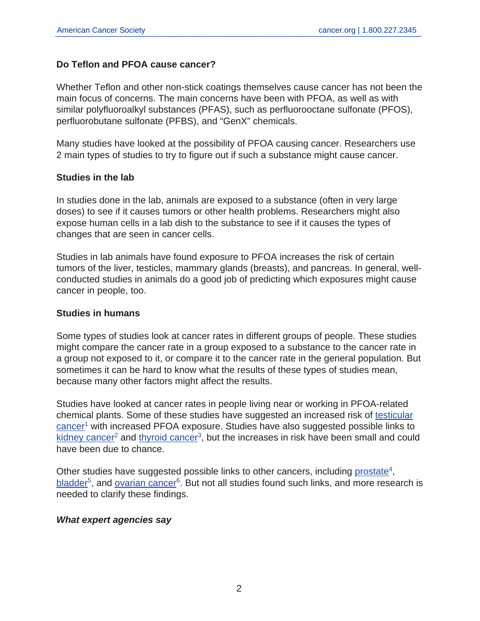#### **Do Teflon and PFOA cause cancer?**

Whether Teflon and other non-stick coatings themselves cause cancer has not been the main focus of concerns. The main concerns have been with PFOA, as well as with similar polyfluoroalkyl substances (PFAS), such as perfluorooctane sulfonate (PFOS), perfluorobutane sulfonate (PFBS), and "GenX" chemicals.

Many studies have looked at the possibility of PFOA causing cancer. Researchers use 2 main types of studies to try to figure out if such a substance might cause cancer.

#### **Studies in the lab**

In studies done in the lab, animals are exposed to a substance (often in very large doses) to see if it causes tumors or other health problems. Researchers might also expose human cells in a lab dish to the substance to see if it causes the types of changes that are seen in cancer cells.

Studies in lab animals have found exposure to PFOA increases the risk of certain tumors of the liver, testicles, mammary glands (breasts), and pancreas. In general, wellconducted studies in animals do a good job of predicting which exposures might cause cancer in people, too.

#### **Studies in humans**

Some types of studies look at cancer rates in different groups of people. These studies might compare the cancer rate in a group exposed to a substance to the cancer rate in a group not exposed to it, or compare it to the cancer rate in the general population. But sometimes it can be hard to know what the results of these types of studies mean, because many other factors might affect the results.

Studies have looked at cancer rates in people living near or working in PFOA-related chemical plants. Some of these studies have suggested an increased risk of [testicular](https://www.cancer.org/cancer/testicular-cancer.html) [cancer](https://www.cancer.org/cancer/testicular-cancer.html)<sup>1</sup> with increased PFOA exposure. Studies have also suggested possible links to [kidney cancer](https://www.cancer.org/cancer/kidney-cancer.html)<sup>2</sup> and [thyroid cancer](https://www.cancer.org/cancer/thyroid-cancer.html)<sup>3</sup>, but the increases in risk have been small and could have been due to chance.

Other studies have suggested possible links to other cancers, including [prostate](https://www.cancer.org/cancer/prostate-cancer.html)<sup>4</sup>, [bladder](https://www.cancer.org/cancer/bladder-cancer.html)<sup>5</sup>, and <u>[ovarian cancer](https://www.cancer.org/cancer/ovarian-cancer.html)</u><sup>6</sup>. But not all studies found such links, and more research is needed to clarify these findings.

#### **What expert agencies say**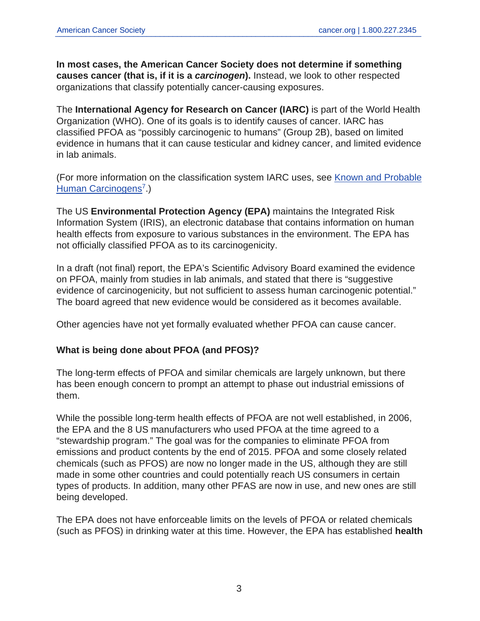**In most cases, the American Cancer Society does not determine if something causes cancer (that is, if it is a carcinogen).** Instead, we look to other respected organizations that classify potentially cancer-causing exposures.

The **International Agency for Research on Cancer (IARC)** is part of the World Health Organization (WHO). One of its goals is to identify causes of cancer. IARC has classified PFOA as "possibly carcinogenic to humans" (Group 2B), based on limited evidence in humans that it can cause testicular and kidney cancer, and limited evidence in lab animals.

(For more information on the classification system IARC uses, see [Known and Probable](https://www.cancer.org/cancer/cancer-causes/general-info/known-and-probable-human-carcinogens.html) [Human Carcinogens](https://www.cancer.org/cancer/cancer-causes/general-info/known-and-probable-human-carcinogens.html)<sup>7</sup>.)

The US **Environmental Protection Agency (EPA)** maintains the Integrated Risk Information System (IRIS), an electronic database that contains information on human health effects from exposure to various substances in the environment. The EPA has not officially classified PFOA as to its carcinogenicity.

In a draft (not final) report, the EPA's Scientific Advisory Board examined the evidence on PFOA, mainly from studies in lab animals, and stated that there is "suggestive evidence of carcinogenicity, but not sufficient to assess human carcinogenic potential." The board agreed that new evidence would be considered as it becomes available.

Other agencies have not yet formally evaluated whether PFOA can cause cancer.

#### **What is being done about PFOA (and PFOS)?**

The long-term effects of PFOA and similar chemicals are largely unknown, but there has been enough concern to prompt an attempt to phase out industrial emissions of them.

While the possible long-term health effects of PFOA are not well established, in 2006, the EPA and the 8 US manufacturers who used PFOA at the time agreed to a "stewardship program." The goal was for the companies to eliminate PFOA from emissions and product contents by the end of 2015. PFOA and some closely related chemicals (such as PFOS) are now no longer made in the US, although they are still made in some other countries and could potentially reach US consumers in certain types of products. In addition, many other PFAS are now in use, and new ones are still being developed.

The EPA does not have enforceable limits on the levels of PFOA or related chemicals (such as PFOS) in drinking water at this time. However, the EPA has established **health**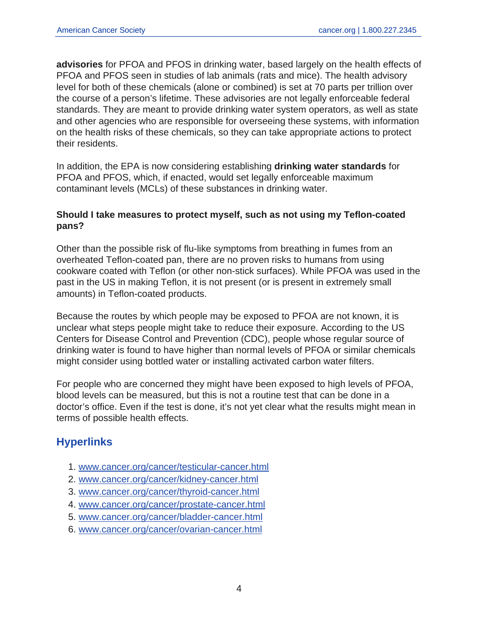**advisories** for PFOA and PFOS in drinking water, based largely on the health effects of PFOA and PFOS seen in studies of lab animals (rats and mice). The health advisory level for both of these chemicals (alone or combined) is set at 70 parts per trillion over the course of a person's lifetime. These advisories are not legally enforceable federal standards. They are meant to provide drinking water system operators, as well as state and other agencies who are responsible for overseeing these systems, with information on the health risks of these chemicals, so they can take appropriate actions to protect their residents.

In addition, the EPA is now considering establishing **drinking water standards** for PFOA and PFOS, which, if enacted, would set legally enforceable maximum contaminant levels (MCLs) of these substances in drinking water.

#### **Should I take measures to protect myself, such as not using my Teflon-coated pans?**

Other than the possible risk of flu-like symptoms from breathing in fumes from an overheated Teflon-coated pan, there are no proven risks to humans from using cookware coated with Teflon (or other non-stick surfaces). While PFOA was used in the past in the US in making Teflon, it is not present (or is present in extremely small amounts) in Teflon-coated products.

Because the routes by which people may be exposed to PFOA are not known, it is unclear what steps people might take to reduce their exposure. According to the US Centers for Disease Control and Prevention (CDC), people whose regular source of drinking water is found to have higher than normal levels of PFOA or similar chemicals might consider using bottled water or installing activated carbon water filters.

For people who are concerned they might have been exposed to high levels of PFOA, blood levels can be measured, but this is not a routine test that can be done in a doctor's office. Even if the test is done, it's not yet clear what the results might mean in terms of possible health effects.

# **Hyperlinks**

- 1. [www.cancer.org/cancer/testicular-cancer.html](https://www.cancer.org/cancer/testicular-cancer.html)
- 2. [www.cancer.org/cancer/kidney-cancer.html](https://www.cancer.org/cancer/kidney-cancer.html)
- 3. [www.cancer.org/cancer/thyroid-cancer.html](https://www.cancer.org/cancer/thyroid-cancer.html)
- 4. [www.cancer.org/cancer/prostate-cancer.html](https://www.cancer.org/cancer/prostate-cancer.html)
- 5. [www.cancer.org/cancer/bladder-cancer.html](https://www.cancer.org/cancer/bladder-cancer.html)
- 6. [www.cancer.org/cancer/ovarian-cancer.html](https://www.cancer.org/cancer/ovarian-cancer.html)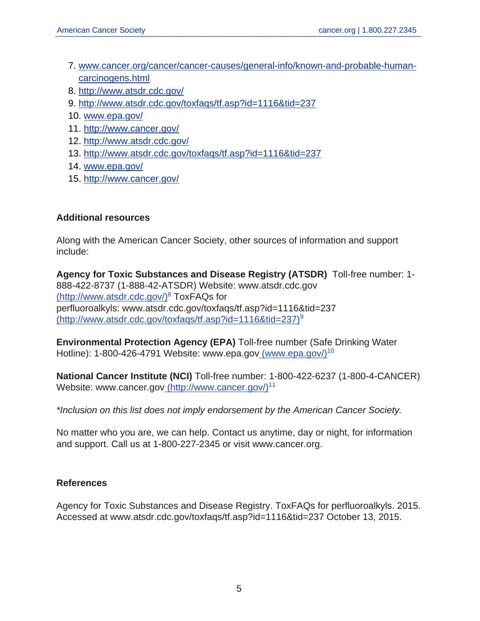- 7. [www.cancer.org/cancer/cancer-causes/general-info/known-and-probable-human](https://www.cancer.org/cancer/cancer-causes/general-info/known-and-probable-human-carcinogens.html)[carcinogens.html](https://www.cancer.org/cancer/cancer-causes/general-info/known-and-probable-human-carcinogens.html)
- 8. <http://www.atsdr.cdc.gov/>
- 9. <http://www.atsdr.cdc.gov/toxfaqs/tf.asp?id=1116&tid=237>
- 10. [www.epa.gov/](https://www.epa.gov/)
- 11. <http://www.cancer.gov/>
- 12. <http://www.atsdr.cdc.gov/>
- 13. <http://www.atsdr.cdc.gov/toxfaqs/tf.asp?id=1116&tid=237>
- 14. [www.epa.gov/](https://www.epa.gov/)
- 15. <http://www.cancer.gov/>

#### **Additional resources**

Along with the American Cancer Society, other sources of information and support include:

**Agency for Toxic Substances and Disease Registry (ATSDR)** Toll-free number: 1- 888-422-8737 (1-888-42-ATSDR) Website: www.atsdr.cdc.gov [\(http://www.atsdr.cdc.gov/\)](http://www.atsdr.cdc.gov/)<sup>8</sup> ToxFAQs for perfluoroalkyls: www.atsdr.cdc.gov/toxfaqs/tf.asp?id=1116&tid=237 [\(http://www.atsdr.cdc.gov/toxfaqs/tf.asp?id=1116&tid=237\)](http://www.atsdr.cdc.gov/toxfaqs/tf.asp?id=1116&tid=237)<sup>9</sup>

**Environmental Protection Agency (EPA)** Toll-free number (Safe Drinking Water Hotline): 1-800-426-4791 Website: www.epa.gov [\(www.epa.gov/\)](https://www.epa.gov/)<sup>10</sup>

**National Cancer Institute (NCI)** Toll-free number: 1-800-422-6237 (1-800-4-CANCER) Website: www.cancer.go[v](http://www.cancer.gov/) [\(http://www.cancer.gov/\)](http://www.cancer.gov/)<sup>11</sup>

\*Inclusion on this list does not imply endorsement by the American Cancer Society.

No matter who you are, we can help. Contact us anytime, day or night, for information and support. Call us at 1-800-227-2345 or visit www.cancer.org.

### **References**

Agency for Toxic Substances and Disease Registry. ToxFAQs for perfluoroalkyls. 2015. Accessed at www.atsdr.cdc.gov/toxfaqs/tf.asp?id=1116&tid=237 October 13, 2015.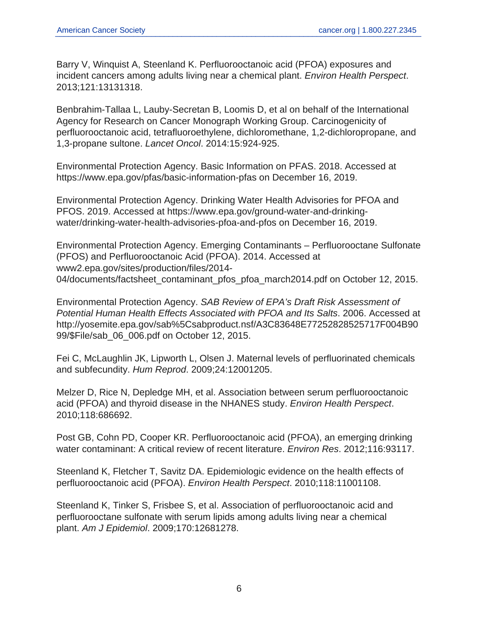Barry V, Winquist A, Steenland K. Perfluorooctanoic acid (PFOA) exposures and incident cancers among adults living near a chemical plant. Environ Health Perspect. 2013;121:13131318.

Benbrahim-Tallaa L, Lauby-Secretan B, Loomis D, et al on behalf of the International Agency for Research on Cancer Monograph Working Group. Carcinogenicity of perfluorooctanoic acid, tetrafluoroethylene, dichloromethane, 1,2-dichloropropane, and 1,3-propane sultone. Lancet Oncol. 2014:15:924-925.

Environmental Protection Agency. Basic Information on PFAS. 2018. Accessed at https://www.epa.gov/pfas/basic-information-pfas on December 16, 2019.

Environmental Protection Agency. Drinking Water Health Advisories for PFOA and PFOS. 2019. Accessed at https://www.epa.gov/ground-water-and-drinkingwater/drinking-water-health-advisories-pfoa-and-pfos on December 16, 2019.

Environmental Protection Agency. Emerging Contaminants – Perfluorooctane Sulfonate (PFOS) and Perfluorooctanoic Acid (PFOA). 2014. Accessed at www2.epa.gov/sites/production/files/2014- 04/documents/factsheet\_contaminant\_pfos\_pfoa\_march2014.pdf on October 12, 2015.

Environmental Protection Agency. SAB Review of EPA's Draft Risk Assessment of Potential Human Health Effects Associated with PFOA and Its Salts. 2006. Accessed at http://yosemite.epa.gov/sab%5Csabproduct.nsf/A3C83648E77252828525717F004B90 99/\$File/sab\_06\_006.pdf on October 12, 2015.

Fei C, McLaughlin JK, Lipworth L, Olsen J. Maternal levels of perfluorinated chemicals and subfecundity. Hum Reprod. 2009;24:12001205.

Melzer D, Rice N, Depledge MH, et al. Association between serum perfluorooctanoic acid (PFOA) and thyroid disease in the NHANES study. Environ Health Perspect. 2010;118:686692.

Post GB, Cohn PD, Cooper KR. Perfluorooctanoic acid (PFOA), an emerging drinking water contaminant: A critical review of recent literature. Environ Res. 2012;116:93117.

Steenland K, Fletcher T, Savitz DA. Epidemiologic evidence on the health effects of perfluorooctanoic acid (PFOA). Environ Health Perspect. 2010;118:11001108.

Steenland K, Tinker S, Frisbee S, et al. Association of perfluorooctanoic acid and perfluorooctane sulfonate with serum lipids among adults living near a chemical plant. Am J Epidemiol. 2009;170:12681278.